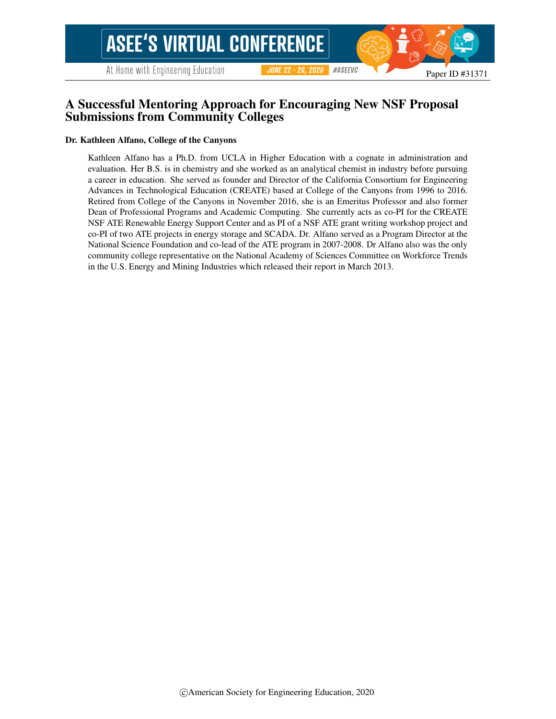At Home with Engineering Education

#### #ASEEVC **JUNE 22 - 26, 2020**

## A Successful Mentoring Approach for Encouraging New NSF Proposal Submissions from Community Colleges

#### Dr. Kathleen Alfano, College of the Canyons

Kathleen Alfano has a Ph.D. from UCLA in Higher Education with a cognate in administration and evaluation. Her B.S. is in chemistry and she worked as an analytical chemist in industry before pursuing a career in education. She served as founder and Director of the California Consortium for Engineering Advances in Technological Education (CREATE) based at College of the Canyons from 1996 to 2016. Retired from College of the Canyons in November 2016, she is an Emeritus Professor and also former Dean of Professional Programs and Academic Computing. She currently acts as co-PI for the CREATE NSF ATE Renewable Energy Support Center and as PI of a NSF ATE grant writing workshop project and co-PI of two ATE projects in energy storage and SCADA. Dr. Alfano served as a Program Director at the National Science Foundation and co-lead of the ATE program in 2007-2008. Dr Alfano also was the only community college representative on the National Academy of Sciences Committee on Workforce Trends in the U.S. Energy and Mining Industries which released their report in March 2013.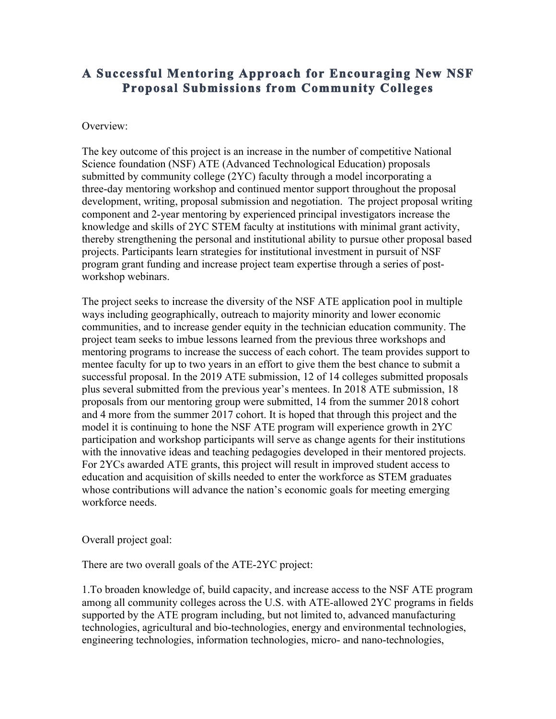# **A Successful Mentoring Approach for Encouraging New NSF Proposal Submissions from Community Colleges**

#### Overview:

The key outcome of this project is an increase in the number of competitive National Science foundation (NSF) ATE (Advanced Technological Education) proposals submitted by community college (2YC) faculty through a model incorporating a three-day mentoring workshop and continued mentor support throughout the proposal development, writing, proposal submission and negotiation. The project proposal writing component and 2-year mentoring by experienced principal investigators increase the knowledge and skills of 2YC STEM faculty at institutions with minimal grant activity, thereby strengthening the personal and institutional ability to pursue other proposal based projects. Participants learn strategies for institutional investment in pursuit of NSF program grant funding and increase project team expertise through a series of postworkshop webinars.

The project seeks to increase the diversity of the NSF ATE application pool in multiple ways including geographically, outreach to majority minority and lower economic communities, and to increase gender equity in the technician education community. The project team seeks to imbue lessons learned from the previous three workshops and mentoring programs to increase the success of each cohort. The team provides support to mentee faculty for up to two years in an effort to give them the best chance to submit a successful proposal. In the 2019 ATE submission, 12 of 14 colleges submitted proposals plus several submitted from the previous year's mentees. In 2018 ATE submission, 18 proposals from our mentoring group were submitted, 14 from the summer 2018 cohort and 4 more from the summer 2017 cohort. It is hoped that through this project and the model it is continuing to hone the NSF ATE program will experience growth in 2YC participation and workshop participants will serve as change agents for their institutions with the innovative ideas and teaching pedagogies developed in their mentored projects. For 2YCs awarded ATE grants, this project will result in improved student access to education and acquisition of skills needed to enter the workforce as STEM graduates whose contributions will advance the nation's economic goals for meeting emerging workforce needs.

Overall project goal:

There are two overall goals of the ATE-2YC project:

1.To broaden knowledge of, build capacity, and increase access to the NSF ATE program among all community colleges across the U.S. with ATE-allowed 2YC programs in fields supported by the ATE program including, but not limited to, advanced manufacturing technologies, agricultural and bio-technologies, energy and environmental technologies, engineering technologies, information technologies, micro- and nano-technologies,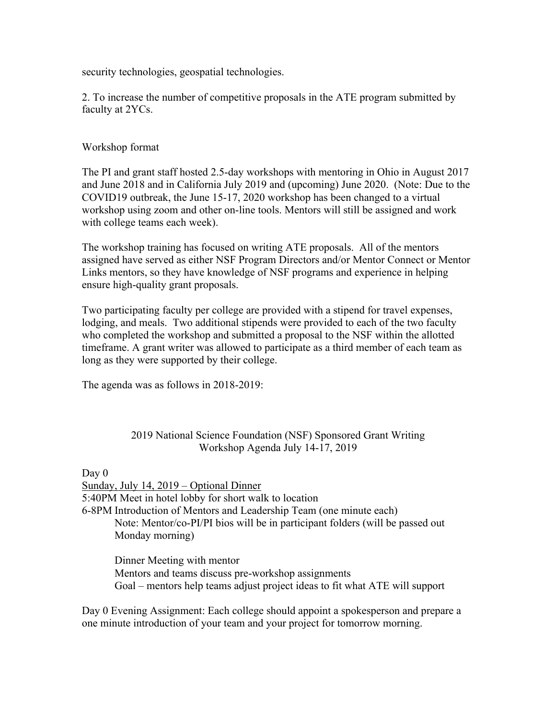security technologies, geospatial technologies.

2. To increase the number of competitive proposals in the ATE program submitted by faculty at 2YCs.

### Workshop format

The PI and grant staff hosted 2.5-day workshops with mentoring in Ohio in August 2017 and June 2018 and in California July 2019 and (upcoming) June 2020. (Note: Due to the COVID19 outbreak, the June 15-17, 2020 workshop has been changed to a virtual workshop using zoom and other on-line tools. Mentors will still be assigned and work with college teams each week).

The workshop training has focused on writing ATE proposals. All of the mentors assigned have served as either NSF Program Directors and/or Mentor Connect or Mentor Links mentors, so they have knowledge of NSF programs and experience in helping ensure high-quality grant proposals.

Two participating faculty per college are provided with a stipend for travel expenses, lodging, and meals. Two additional stipends were provided to each of the two faculty who completed the workshop and submitted a proposal to the NSF within the allotted timeframe. A grant writer was allowed to participate as a third member of each team as long as they were supported by their college.

The agenda was as follows in 2018-2019:

#### 2019 National Science Foundation (NSF) Sponsored Grant Writing Workshop Agenda July 14-17, 2019

Day 0 Sunday, July 14, 2019 – Optional Dinner 5:40PM Meet in hotel lobby for short walk to location 6-8PM Introduction of Mentors and Leadership Team (one minute each) Note: Mentor/co-PI/PI bios will be in participant folders (will be passed out Monday morning)

Dinner Meeting with mentor Mentors and teams discuss pre-workshop assignments Goal – mentors help teams adjust project ideas to fit what ATE will support

Day 0 Evening Assignment: Each college should appoint a spokesperson and prepare a one minute introduction of your team and your project for tomorrow morning.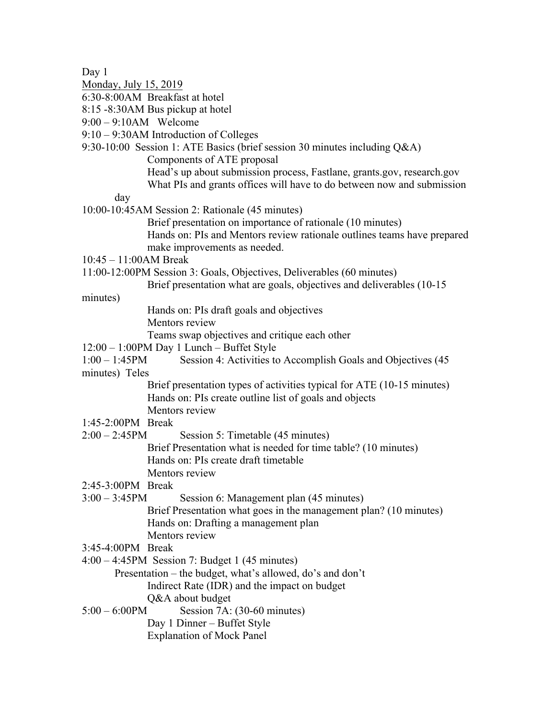Day 1

- Monday, July 15, 2019
- 6:30-8:00AM Breakfast at hotel
- 8:15 -8:30AM Bus pickup at hotel
- 9:00 9:10AM Welcome
- 9:10 9:30AM Introduction of Colleges
- 9:30-10:00 Session 1: ATE Basics (brief session 30 minutes including Q&A)

Components of ATE proposal

Head's up about submission process, Fastlane, grants.gov, research.gov What PIs and grants offices will have to do between now and submission

day

- 10:00-10:45AM Session 2: Rationale (45 minutes)
	- Brief presentation on importance of rationale (10 minutes) Hands on: PIs and Mentors review rationale outlines teams have prepared make improvements as needed.
- 10:45 11:00AM Break
- 11:00-12:00PM Session 3: Goals, Objectives, Deliverables (60 minutes)
	- Brief presentation what are goals, objectives and deliverables (10-15

minutes)

Hands on: PIs draft goals and objectives

- Mentors review
- Teams swap objectives and critique each other
- 12:00 1:00PM Day 1 Lunch Buffet Style
- 1:00 1:45PM Session 4: Activities to Accomplish Goals and Objectives (45 minutes) Teles

Brief presentation types of activities typical for ATE (10-15 minutes) Hands on: PIs create outline list of goals and objects

Mentors review

- 1:45-2:00PM Break
- 2:00 2:45PM Session 5: Timetable (45 minutes)
	- Brief Presentation what is needed for time table? (10 minutes) Hands on: PIs create draft timetable Mentors review

#### 2:45-3:00PM Break

- 3:00 3:45PM Session 6: Management plan (45 minutes) Brief Presentation what goes in the management plan? (10 minutes) Hands on: Drafting a management plan Mentors review
- 3:45-4:00PM Break
- 4:00 4:45PM Session 7: Budget 1 (45 minutes)
	- Presentation the budget, what's allowed, do's and don't Indirect Rate (IDR) and the impact on budget

Q&A about budget

5:00 – 6:00PM Session 7A: (30-60 minutes)

Day 1 Dinner – Buffet Style

Explanation of Mock Panel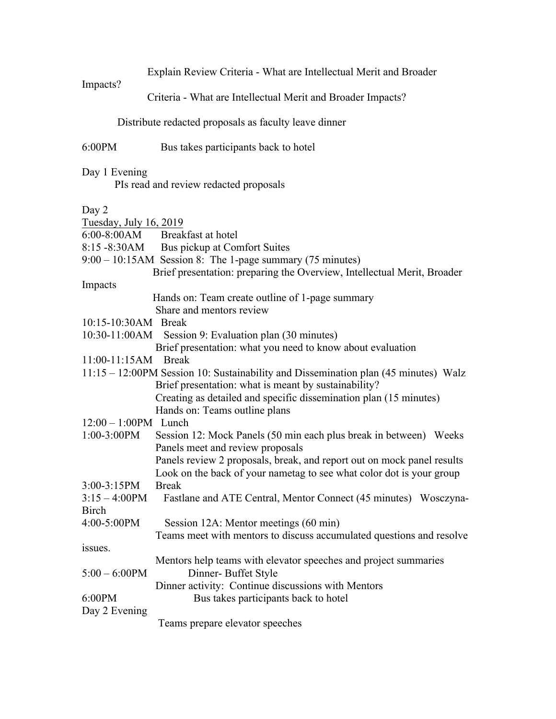Explain Review Criteria - What are Intellectual Merit and Broader

Criteria - What are Intellectual Merit and Broader Impacts?

Distribute redacted proposals as faculty leave dinner

## 6:00PM Bus takes participants back to hotel

## Day 1 Evening

Impacts?

PIs read and review redacted proposals

#### Day 2

| Tuesday, July 16, 2019  |                                                                                     |
|-------------------------|-------------------------------------------------------------------------------------|
| $6:00-8:00AM$           | Breakfast at hotel                                                                  |
| $8:15 - 8:30AM$         | Bus pickup at Comfort Suites                                                        |
|                         | $9:00 - 10:15$ AM Session 8: The 1-page summary (75 minutes)                        |
|                         | Brief presentation: preparing the Overview, Intellectual Merit, Broader             |
| Impacts                 |                                                                                     |
|                         | Hands on: Team create outline of 1-page summary                                     |
|                         | Share and mentors review                                                            |
| 10:15-10:30AM Break     |                                                                                     |
| 10:30-11:00AM           | Session 9: Evaluation plan (30 minutes)                                             |
|                         | Brief presentation: what you need to know about evaluation                          |
| 11:00-11:15AM Break     |                                                                                     |
|                         | 11:15 – 12:00PM Session 10: Sustainability and Dissemination plan (45 minutes) Walz |
|                         | Brief presentation: what is meant by sustainability?                                |
|                         | Creating as detailed and specific dissemination plan (15 minutes)                   |
|                         | Hands on: Teams outline plans                                                       |
| $12:00 - 1:00$ PM Lunch |                                                                                     |
| 1:00-3:00PM             | Session 12: Mock Panels (50 min each plus break in between) Weeks                   |
|                         | Panels meet and review proposals                                                    |
|                         | Panels review 2 proposals, break, and report out on mock panel results              |
|                         | Look on the back of your nametag to see what color dot is your group                |
| $3:00-3:15PM$           | <b>Break</b>                                                                        |
| $3:15 - 4:00PM$         | Fastlane and ATE Central, Mentor Connect (45 minutes) Wosczyna-                     |
| <b>Birch</b>            |                                                                                     |
| 4:00-5:00PM             | Session 12A: Mentor meetings (60 min)                                               |
|                         | Teams meet with mentors to discuss accumulated questions and resolve                |
| issues.                 |                                                                                     |
|                         | Mentors help teams with elevator speeches and project summaries                     |
| $5:00 - 6:00$ PM        | Dinner- Buffet Style                                                                |
|                         | Dinner activity: Continue discussions with Mentors                                  |
| 6:00PM                  | Bus takes participants back to hotel                                                |
| Day 2 Evening           |                                                                                     |
|                         | Teams prepare elevator speeches                                                     |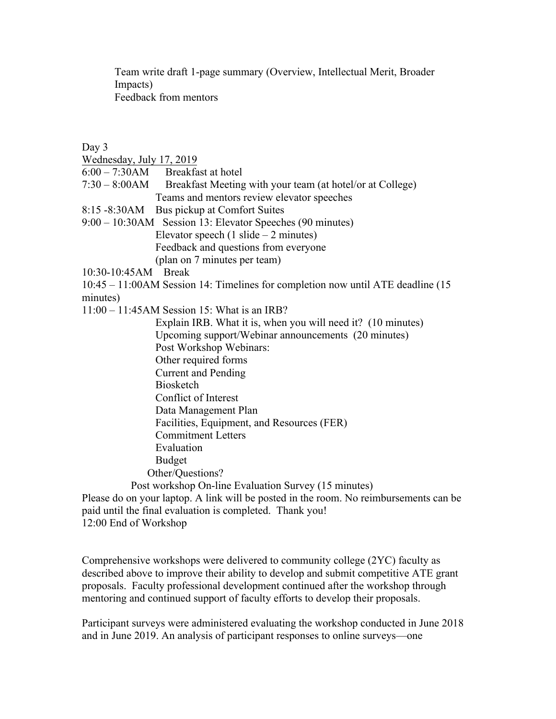Team write draft 1-page summary (Overview, Intellectual Merit, Broader Impacts) Feedback from mentors

Day 3

- Wednesday, July 17, 2019
- 6:00 7:30AM Breakfast at hotel
- 7:30 8:00AM Breakfast Meeting with your team (at hotel/or at College) Teams and mentors review elevator speeches
- 8:15 -8:30AM Bus pickup at Comfort Suites
- 9:00 10:30AM Session 13: Elevator Speeches (90 minutes) Elevator speech  $(1 \text{ slide} - 2 \text{ minutes})$ 
	- Feedback and questions from everyone
	- (plan on 7 minutes per team)
- 10:30-10:45AM Break
- 10:45 11:00AM Session 14: Timelines for completion now until ATE deadline (15 minutes)
- 11:00 11:45AM Session 15: What is an IRB?

 Explain IRB. What it is, when you will need it? (10 minutes) Upcoming support/Webinar announcements (20 minutes) Post Workshop Webinars: Other required forms Current and Pending Biosketch Conflict of Interest Data Management Plan Facilities, Equipment, and Resources (FER) Commitment Letters Evaluation Budget Other/Questions? Post workshop On-line Evaluation Survey (15 minutes)

Please do on your laptop. A link will be posted in the room. No reimbursements can be paid until the final evaluation is completed. Thank you! 12:00 End of Workshop

Comprehensive workshops were delivered to community college (2YC) faculty as described above to improve their ability to develop and submit competitive ATE grant proposals. Faculty professional development continued after the workshop through mentoring and continued support of faculty efforts to develop their proposals.

Participant surveys were administered evaluating the workshop conducted in June 2018 and in June 2019. An analysis of participant responses to online surveys—one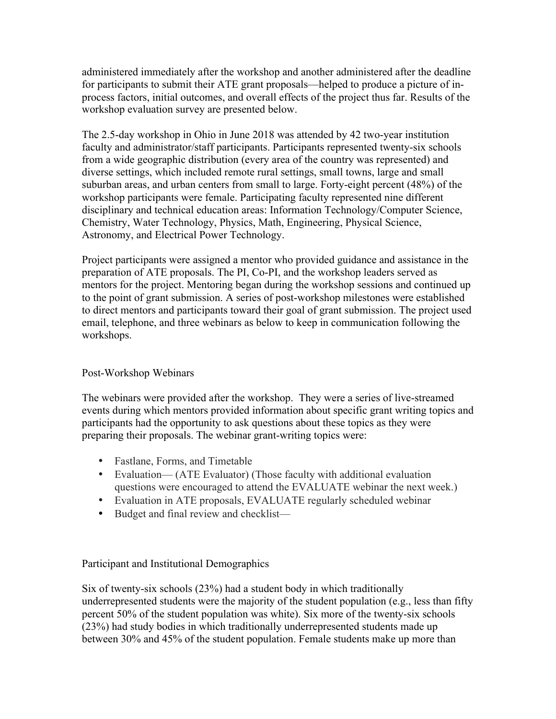administered immediately after the workshop and another administered after the deadline for participants to submit their ATE grant proposals—helped to produce a picture of inprocess factors, initial outcomes, and overall effects of the project thus far. Results of the workshop evaluation survey are presented below.

The 2.5-day workshop in Ohio in June 2018 was attended by 42 two-year institution faculty and administrator/staff participants. Participants represented twenty-six schools from a wide geographic distribution (every area of the country was represented) and diverse settings, which included remote rural settings, small towns, large and small suburban areas, and urban centers from small to large. Forty-eight percent (48%) of the workshop participants were female. Participating faculty represented nine different disciplinary and technical education areas: Information Technology/Computer Science, Chemistry, Water Technology, Physics, Math, Engineering, Physical Science, Astronomy, and Electrical Power Technology.

Project participants were assigned a mentor who provided guidance and assistance in the preparation of ATE proposals. The PI, Co-PI, and the workshop leaders served as mentors for the project. Mentoring began during the workshop sessions and continued up to the point of grant submission. A series of post-workshop milestones were established to direct mentors and participants toward their goal of grant submission. The project used email, telephone, and three webinars as below to keep in communication following the workshops.

## Post-Workshop Webinars

The webinars were provided after the workshop. They were a series of live-streamed events during which mentors provided information about specific grant writing topics and participants had the opportunity to ask questions about these topics as they were preparing their proposals. The webinar grant-writing topics were:

- Fastlane, Forms, and Timetable
- Evaluation— (ATE Evaluator) (Those faculty with additional evaluation questions were encouraged to attend the EVALUATE webinar the next week.)
- Evaluation in ATE proposals, EVALUATE regularly scheduled webinar
- Budget and final review and checklist—

## Participant and Institutional Demographics

Six of twenty-six schools (23%) had a student body in which traditionally underrepresented students were the majority of the student population (e.g., less than fifty percent 50% of the student population was white). Six more of the twenty-six schools (23%) had study bodies in which traditionally underrepresented students made up between 30% and 45% of the student population. Female students make up more than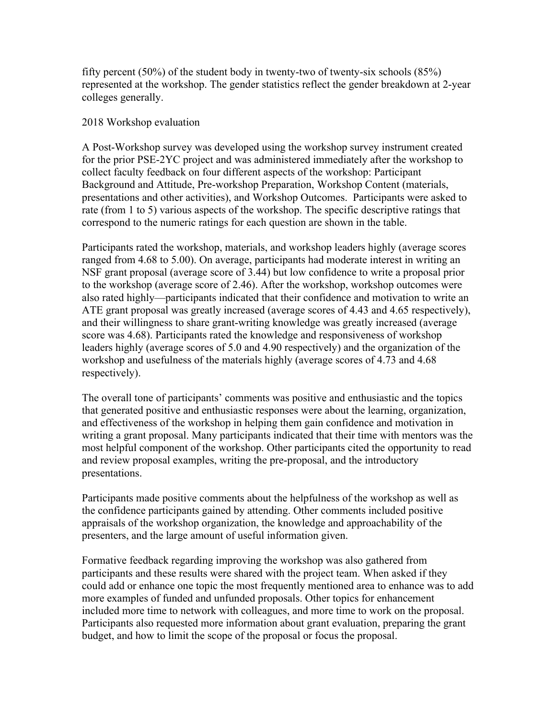fifty percent  $(50\%)$  of the student body in twenty-two of twenty-six schools  $(85\%)$ represented at the workshop. The gender statistics reflect the gender breakdown at 2-year colleges generally.

#### 2018 Workshop evaluation

A Post-Workshop survey was developed using the workshop survey instrument created for the prior PSE-2YC project and was administered immediately after the workshop to collect faculty feedback on four different aspects of the workshop: Participant Background and Attitude, Pre-workshop Preparation, Workshop Content (materials, presentations and other activities), and Workshop Outcomes. Participants were asked to rate (from 1 to 5) various aspects of the workshop. The specific descriptive ratings that correspond to the numeric ratings for each question are shown in the table.

Participants rated the workshop, materials, and workshop leaders highly (average scores ranged from 4.68 to 5.00). On average, participants had moderate interest in writing an NSF grant proposal (average score of 3.44) but low confidence to write a proposal prior to the workshop (average score of 2.46). After the workshop, workshop outcomes were also rated highly—participants indicated that their confidence and motivation to write an ATE grant proposal was greatly increased (average scores of 4.43 and 4.65 respectively), and their willingness to share grant-writing knowledge was greatly increased (average score was 4.68). Participants rated the knowledge and responsiveness of workshop leaders highly (average scores of 5.0 and 4.90 respectively) and the organization of the workshop and usefulness of the materials highly (average scores of 4.73 and 4.68 respectively).

The overall tone of participants' comments was positive and enthusiastic and the topics that generated positive and enthusiastic responses were about the learning, organization, and effectiveness of the workshop in helping them gain confidence and motivation in writing a grant proposal. Many participants indicated that their time with mentors was the most helpful component of the workshop. Other participants cited the opportunity to read and review proposal examples, writing the pre-proposal, and the introductory presentations.

Participants made positive comments about the helpfulness of the workshop as well as the confidence participants gained by attending. Other comments included positive appraisals of the workshop organization, the knowledge and approachability of the presenters, and the large amount of useful information given.

Formative feedback regarding improving the workshop was also gathered from participants and these results were shared with the project team. When asked if they could add or enhance one topic the most frequently mentioned area to enhance was to add more examples of funded and unfunded proposals. Other topics for enhancement included more time to network with colleagues, and more time to work on the proposal. Participants also requested more information about grant evaluation, preparing the grant budget, and how to limit the scope of the proposal or focus the proposal.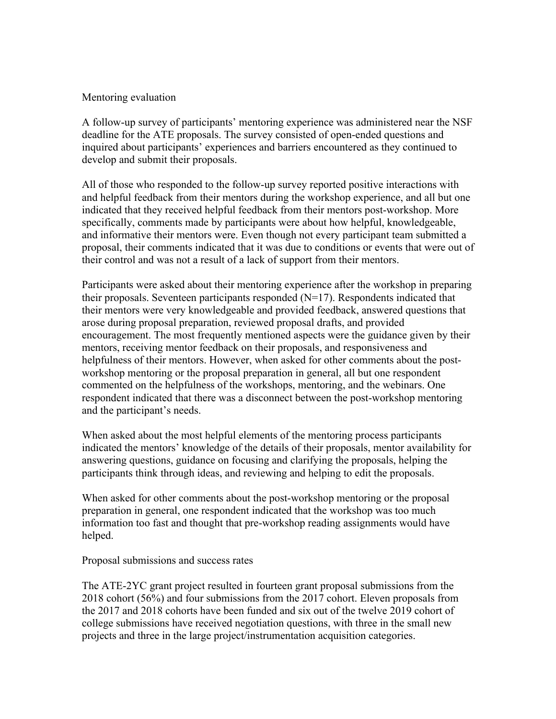#### Mentoring evaluation

A follow-up survey of participants' mentoring experience was administered near the NSF deadline for the ATE proposals. The survey consisted of open-ended questions and inquired about participants' experiences and barriers encountered as they continued to develop and submit their proposals.

All of those who responded to the follow-up survey reported positive interactions with and helpful feedback from their mentors during the workshop experience, and all but one indicated that they received helpful feedback from their mentors post-workshop. More specifically, comments made by participants were about how helpful, knowledgeable, and informative their mentors were. Even though not every participant team submitted a proposal, their comments indicated that it was due to conditions or events that were out of their control and was not a result of a lack of support from their mentors.

Participants were asked about their mentoring experience after the workshop in preparing their proposals. Seventeen participants responded (N=17). Respondents indicated that their mentors were very knowledgeable and provided feedback, answered questions that arose during proposal preparation, reviewed proposal drafts, and provided encouragement. The most frequently mentioned aspects were the guidance given by their mentors, receiving mentor feedback on their proposals, and responsiveness and helpfulness of their mentors. However, when asked for other comments about the postworkshop mentoring or the proposal preparation in general, all but one respondent commented on the helpfulness of the workshops, mentoring, and the webinars. One respondent indicated that there was a disconnect between the post-workshop mentoring and the participant's needs.

When asked about the most helpful elements of the mentoring process participants indicated the mentors' knowledge of the details of their proposals, mentor availability for answering questions, guidance on focusing and clarifying the proposals, helping the participants think through ideas, and reviewing and helping to edit the proposals.

When asked for other comments about the post-workshop mentoring or the proposal preparation in general, one respondent indicated that the workshop was too much information too fast and thought that pre-workshop reading assignments would have helped.

Proposal submissions and success rates

The ATE-2YC grant project resulted in fourteen grant proposal submissions from the 2018 cohort (56%) and four submissions from the 2017 cohort. Eleven proposals from the 2017 and 2018 cohorts have been funded and six out of the twelve 2019 cohort of college submissions have received negotiation questions, with three in the small new projects and three in the large project/instrumentation acquisition categories.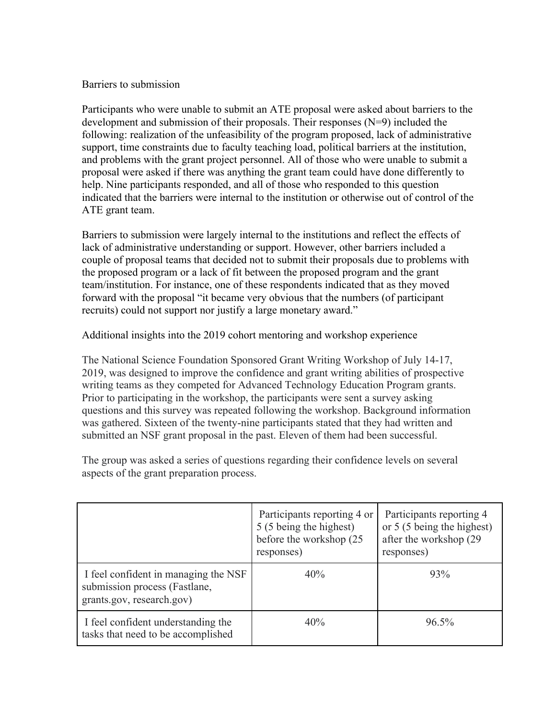#### Barriers to submission

Participants who were unable to submit an ATE proposal were asked about barriers to the development and submission of their proposals. Their responses (N=9) included the following: realization of the unfeasibility of the program proposed, lack of administrative support, time constraints due to faculty teaching load, political barriers at the institution, and problems with the grant project personnel. All of those who were unable to submit a proposal were asked if there was anything the grant team could have done differently to help. Nine participants responded, and all of those who responded to this question indicated that the barriers were internal to the institution or otherwise out of control of the ATE grant team.

Barriers to submission were largely internal to the institutions and reflect the effects of lack of administrative understanding or support. However, other barriers included a couple of proposal teams that decided not to submit their proposals due to problems with the proposed program or a lack of fit between the proposed program and the grant team/institution. For instance, one of these respondents indicated that as they moved forward with the proposal "it became very obvious that the numbers (of participant recruits) could not support nor justify a large monetary award."

Additional insights into the 2019 cohort mentoring and workshop experience

The National Science Foundation Sponsored Grant Writing Workshop of July 14-17, 2019, was designed to improve the confidence and grant writing abilities of prospective writing teams as they competed for Advanced Technology Education Program grants. Prior to participating in the workshop, the participants were sent a survey asking questions and this survey was repeated following the workshop. Background information was gathered. Sixteen of the twenty-nine participants stated that they had written and submitted an NSF grant proposal in the past. Eleven of them had been successful.

The group was asked a series of questions regarding their confidence levels on several aspects of the grant preparation process.

|                                                                                                    | Participants reporting 4 or<br>5 (5 being the highest)<br>before the workshop (25<br>responses) | Participants reporting 4<br>or 5 (5 being the highest)<br>after the workshop (29)<br>responses) |
|----------------------------------------------------------------------------------------------------|-------------------------------------------------------------------------------------------------|-------------------------------------------------------------------------------------------------|
| I feel confident in managing the NSF<br>submission process (Fastlane,<br>grants.gov, research.gov) | 40%                                                                                             | 93%                                                                                             |
| I feel confident understanding the<br>tasks that need to be accomplished                           | 40%                                                                                             | 96.5%                                                                                           |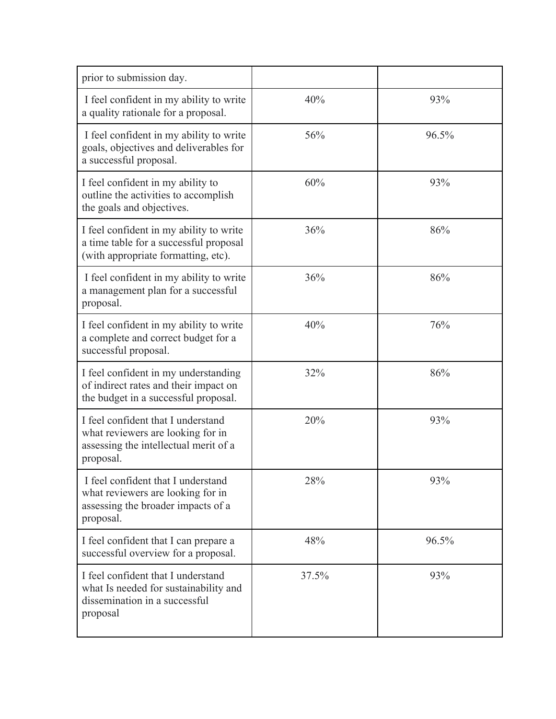| prior to submission day.                                                                                                      |       |       |
|-------------------------------------------------------------------------------------------------------------------------------|-------|-------|
|                                                                                                                               |       |       |
| I feel confident in my ability to write<br>a quality rationale for a proposal.                                                | 40%   | 93%   |
| I feel confident in my ability to write<br>goals, objectives and deliverables for<br>a successful proposal.                   | 56%   | 96.5% |
| I feel confident in my ability to<br>outline the activities to accomplish<br>the goals and objectives.                        | 60%   | 93%   |
| I feel confident in my ability to write<br>a time table for a successful proposal<br>(with appropriate formatting, etc).      | 36%   | 86%   |
| I feel confident in my ability to write<br>a management plan for a successful<br>proposal.                                    | 36%   | 86%   |
| I feel confident in my ability to write<br>a complete and correct budget for a<br>successful proposal.                        | 40%   | 76%   |
| I feel confident in my understanding<br>of indirect rates and their impact on<br>the budget in a successful proposal.         | 32%   | 86%   |
| I feel confident that I understand<br>what reviewers are looking for in<br>assessing the intellectual merit of a<br>proposal. | 20%   | 93%   |
| I feel confident that I understand<br>what reviewers are looking for in<br>assessing the broader impacts of a<br>proposal.    | 28%   | 93%   |
| I feel confident that I can prepare a<br>successful overview for a proposal.                                                  | 48%   | 96.5% |
| I feel confident that I understand<br>what Is needed for sustainability and<br>dissemination in a successful<br>proposal      | 37.5% | 93%   |